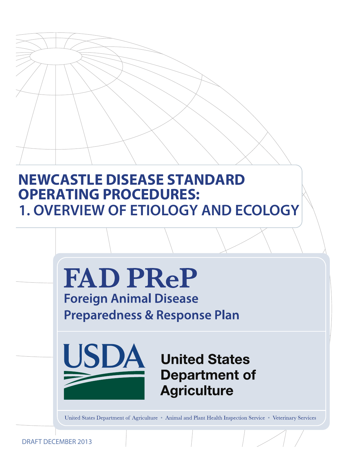# **NEWCASTLE DISEASE STANDARD OPERATING PROCEDURES: 1. OVERVIEW OF ETIOLOGY AND ECOLOGY**



United States Department of Agriculture • Animal and Plant Health Inspection Service • Veterinary Services

DRAFT DECEMBER 2013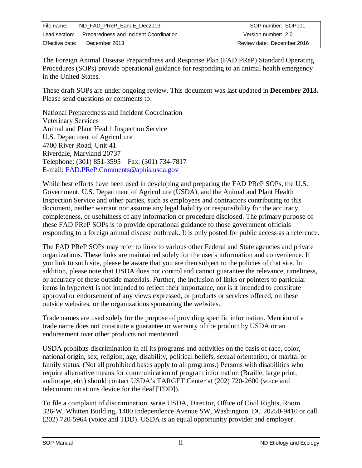| File name:      | ND FAD PReP EandE Dec2013              | SOP number: SOP001         |
|-----------------|----------------------------------------|----------------------------|
| Lead section:   | Preparedness and Incident Coordination | Version number: 2.0        |
| Effective date: | December 2013                          | Review date: December 2016 |

The Foreign Animal Disease Preparedness and Response Plan (FAD PReP) Standard Operating Procedures (SOPs) provide operational guidance for responding to an animal health emergency in the United States.

These draft SOPs are under ongoing review. This document was last updated in **December 2013.**  Please send questions or comments to:

National Preparedness and Incident Coordination Veterinary Services Animal and Plant Health Inspection Service U.S. Department of Agriculture 4700 River Road, Unit 41 Riverdale, Maryland 20737 Telephone: (301) 851-3595 Fax: (301) 734-7817 E-mail: [FAD.PReP.Comments@aphis.usda.gov](mailto:FAD.PReP.Comments@aphis.usda.gov)

While best efforts have been used in developing and preparing the FAD PReP SOPs, the U.S. Government, U.S. Department of Agriculture (USDA), and the Animal and Plant Health Inspection Service and other parties, such as employees and contractors contributing to this document, neither warrant nor assume any legal liability or responsibility for the accuracy, completeness, or usefulness of any information or procedure disclosed. The primary purpose of these FAD PReP SOPs is to provide operational guidance to those government officials responding to a foreign animal disease outbreak. It is only posted for public access as a reference.

The FAD PReP SOPs may refer to links to various other Federal and State agencies and private organizations. These links are maintained solely for the user's information and convenience. If you link to such site, please be aware that you are then subject to the policies of that site. In addition, please note that USDA does not control and cannot guarantee the relevance, timeliness, or accuracy of these outside materials. Further, the inclusion of links or pointers to particular items in hypertext is not intended to reflect their importance, nor is it intended to constitute approval or endorsement of any views expressed, or products or services offered, on these outside websites, or the organizations sponsoring the websites.

Trade names are used solely for the purpose of providing specific information. Mention of a trade name does not constitute a guarantee or warranty of the product by USDA or an endorsement over other products not mentioned.

USDA prohibits discrimination in all its programs and activities on the basis of race, color, national origin, sex, religion, age, disability, political beliefs, sexual orientation, or marital or family status. (Not all prohibited bases apply to all programs.) Persons with disabilities who require alternative means for communication of program information (Braille, large print, audiotape, etc.) should contact USDA's TARGET Center at (202) 720-2600 (voice and telecommunications device for the deaf [TDD]).

To file a complaint of discrimination, write USDA, Director, Office of Civil Rights, Room 326-W, Whitten Building, 1400 Independence Avenue SW, Washington, DC 20250-9410 or call (202) 720-5964 (voice and TDD). USDA is an equal opportunity provider and employer.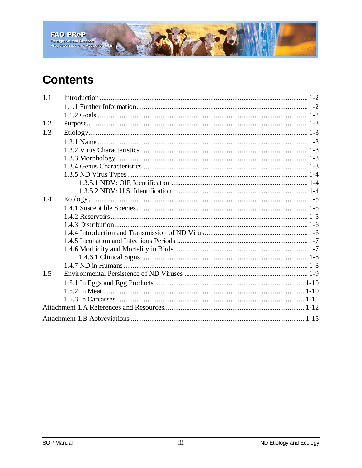

# **Contents**

| 1.1 |  |
|-----|--|
|     |  |
|     |  |
| 1.2 |  |
| 1.3 |  |
|     |  |
|     |  |
|     |  |
|     |  |
|     |  |
|     |  |
|     |  |
| 1.4 |  |
|     |  |
|     |  |
|     |  |
|     |  |
|     |  |
|     |  |
|     |  |
|     |  |
| 1.5 |  |
|     |  |
|     |  |
|     |  |
|     |  |
|     |  |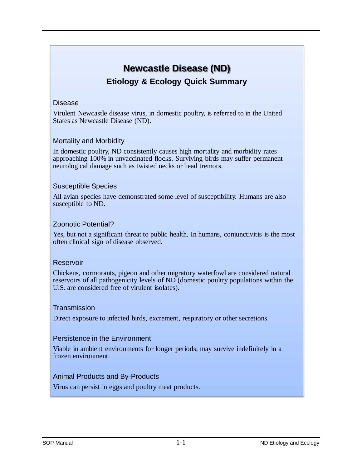## **Newcastle Disease (ND) Etiology & Ecology Quick Summary**

#### Disease

Virulent Newcastle disease virus, in domestic poultry, is referred to in the United States as Newcastle Disease (ND).

#### Mortality and Morbidity

In domestic poultry, ND consistently causes high mortality and morbidity rates approaching 100% in unvaccinated flocks. Surviving birds may suffer permanent neurological damage such as twisted necks or head tremors.

#### Susceptible Species

All avian species have demonstrated some level of susceptibility. Humans are also susceptible to ND.

#### Zoonotic Potential?

Yes, but not a significant threat to public health. In humans, conjunctivitis is the most often clinical sign of disease observed.

#### Reservoir

Chickens, cormorants, pigeon and other migratory waterfowl are considered natural reservoirs of all pathogenicity levels of ND (domestic poultry populations within the U.S. are considered free of virulent isolates).

#### **Transmission**

Direct exposure to infected birds, excrement, respiratory or other secretions.

#### Persistence in the Environment

Viable in ambient environments for longer periods; may survive indefinitely in a frozen environment.

#### Animal Products and By-Products

Virus can persist in eggs and poultry meat products.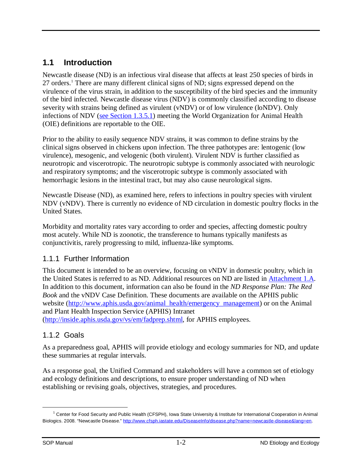## <span id="page-4-0"></span>**1.1 Introduction**

Newcastle disease (ND) is an infectious viral disease that affects at least 250 species of birds in 27 orders[.1](#page-4-3) There are many different clinical signs of ND; signs expressed depend on the virulence of the virus strain, in addition to the susceptibility of the bird species and the immunity of the bird infected. Newcastle disease virus (NDV) is commonly classified according to disease severity with strains being defined as virulent (vNDV) or of low virulence (loNDV). Only infections of NDV [\(see Section 1.3.5.1\)](#page-6-0) meeting the World Organization for Animal Health (OIE) definitions are reportable to the OIE.

Prior to the ability to easily sequence NDV strains, it was common to define strains by the clinical signs observed in chickens upon infection. The three pathotypes are: lentogenic (low virulence), mesogenic, and velogenic (both virulent). Virulent NDV is further classified as neurotropic and viscerotropic. The neurotropic subtype is commonly associated with neurologic and respiratory symptoms; and the viscerotropic subtype is commonly associated with hemorrhagic lesions in the intestinal tract, but may also cause neurological signs.

Newcastle Disease (ND), as examined here, refers to infections in poultry species with virulent NDV (vNDV). There is currently no evidence of ND circulation in domestic poultry flocks in the United States.

Morbidity and mortality rates vary according to order and species, affecting domestic poultry most acutely. While ND is zoonotic, the transference to humans typically manifests as conjunctivitis, rarely progressing to mild, influenza-like symptoms.

#### <span id="page-4-1"></span>1.1.1 Further Information

This document is intended to be an overview, focusing on vNDV in domestic poultry, which in the United States is referred to as ND. Additional resources on ND are listed in [Attachment 1.A.](#page-13-1) In addition to this document, information can also be found in the *ND Response Plan: The Red Book* and the vNDV Case Definition. These documents are available on the APHIS public website [\(http://www.aphis.usda.gov/animal\\_health/emergency\\_management\)](http://www.aphis.usda.gov/animal_health/emergency_management) or on the Animal and Plant Health Inspection Service (APHIS) Intranet [\(http://inside.aphis.usda.gov/vs/em/fadprep.shtml,](http://inside.aphis.usda.gov/vs/em/fadprep.shtml) for APHIS employees.

#### <span id="page-4-2"></span>1.1.2 Goals

As a preparedness goal, APHIS will provide etiology and ecology summaries for ND, and update these summaries at regular intervals.

As a response goal, the Unified Command and stakeholders will have a common set of etiology and ecology definitions and descriptions, to ensure proper understanding of ND when establishing or revising goals, objectives, strategies, and procedures.

<span id="page-4-3"></span><sup>&</sup>lt;sup>1</sup> Center for Food Security and Public Health (CFSPH), Iowa State University & Institute for International Cooperation in Animal Biologics. 2008. "Newcastle Disease." [http://www.cfsph.iastate.edu/DiseaseInfo/disease.php?name=newcastle-disease&lang=en.](http://www.cfsph.iastate.edu/DiseaseInfo/disease.php?name=newcastle-disease&lang=en)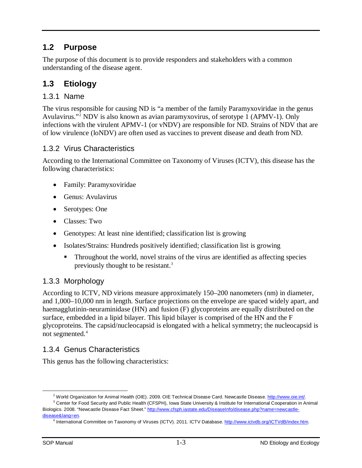## <span id="page-5-0"></span>**1.2 Purpose**

The purpose of this document is to provide responders and stakeholders with a common understanding of the disease agent.

## <span id="page-5-1"></span>**1.3 Etiology**

## <span id="page-5-2"></span>1.3.1 Name

The virus responsible for causing ND is "a member of the family Paramyxoviridae in the genus Avulavirus."[2](#page-5-6) NDV is also known as avian paramyxovirus, of serotype 1 (APMV-1). Only infections with the virulent APMV-1 (or vNDV) are responsible for ND. Strains of NDV that are of low virulence (loNDV) are often used as vaccines to prevent disease and death from ND.

#### <span id="page-5-3"></span>1.3.2 Virus Characteristics

According to the International Committee on Taxonomy of Viruses (ICTV), this disease has the following characteristics:

- Family: Paramyxoviridae
- Genus: Avulavirus
- Serotypes: One
- Classes: Two
- Genotypes: At least nine identified; classification list is growing
- Isolates/Strains: Hundreds positively identified; classification list is growing
	- Throughout the world, novel strains of the virus are identified as affecting species previously thought to be resistant.<sup>3</sup>

#### <span id="page-5-4"></span>1.3.3 Morphology

According to ICTV, ND virions measure approximately 150–200 nanometers (nm) in diameter, and 1,000–10,000 nm in length. Surface projections on the envelope are spaced widely apart, and haemagglutinin-neuraminidase (HN) and fusion (F) glycoproteins are equally distributed on the surface, embedded in a lipid bilayer. This lipid bilayer is comprised of the HN and the F glycoproteins. The capsid/nucleocapsid is elongated with a helical symmetry; the nucleocapsid is not segmented.<sup>[4](#page-5-8)</sup>

#### <span id="page-5-5"></span>1.3.4 Genus Characteristics

This genus has the following characteristics:

<sup>&</sup>lt;sup>2</sup> World Organization for Animal Health (OIE). 2009. OIE Technical Disease Card. Newcastle Disease. [http://www.oie.int/.](http://www.oie.int/)

<span id="page-5-8"></span><span id="page-5-7"></span><span id="page-5-6"></span><sup>&</sup>lt;sup>3</sup> Center for Food Security and Public Health (CFSPH), Iowa State University & Institute for International Cooperation in Animal Biologics. 2008. "Newcastle Disease Fact Sheet." [http://www.cfsph.iastate.edu/DiseaseInfo/disease.php?name=newcastle](http://www.cfsph.iastate.edu/DiseaseInfo/disease.php?name=newcastle-disease&lang=en)[disease&lang=en.](http://www.cfsph.iastate.edu/DiseaseInfo/disease.php?name=newcastle-disease&lang=en)

International Committee on Taxonomy of Viruses (ICTV). 2011. ICTV Database. [http://www.ictvdb.org/ICTVdB/index.htm.](http://www.ictvdb.org/ICTVdB/index.htm)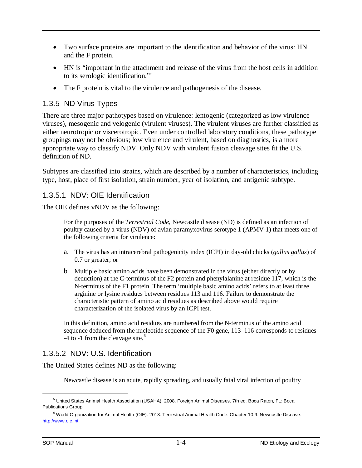- Two surface proteins are important to the identification and behavior of the virus: HN and the F protein.
- HN is "important in the attachment and release of the virus from the host cells in addition to its serologic identification."[5](#page-6-3)
- The F protein is vital to the virulence and pathogenesis of the disease.

## <span id="page-6-0"></span>1.3.5 ND Virus Types

There are three major pathotypes based on virulence: lentogenic (categorized as low virulence viruses), mesogenic and velogenic (virulent viruses). The virulent viruses are further classified as either neurotropic or viscerotropic. Even under controlled laboratory conditions, these pathotype groupings may not be obvious; low virulence and virulent, based on diagnostics, is a more appropriate way to classify NDV. Only NDV with virulent fusion cleavage sites fit the U.S. definition of ND.

Subtypes are classified into strains, which are described by a number of characteristics, including type, host, place of first isolation, strain number, year of isolation, and antigenic subtype.

#### <span id="page-6-1"></span>1.3.5.1 NDV: OIE Identification

The OIE defines vNDV as the following:

For the purposes of the *Terrestrial Code*, Newcastle disease (ND) is defined as an infection of poultry caused by a virus (NDV) of avian paramyxovirus serotype 1 (APMV-1) that meets one of the following criteria for virulence:

- a. The virus has an intracerebral pathogenicity index (ICPI) in day-old chicks (*gallus gallus*) of 0.7 or greater; or
- b. Multiple basic amino acids have been demonstrated in the virus (either directly or by deduction) at the C-terminus of the F2 protein and phenylalanine at residue 117, which is the N-terminus of the F1 protein. The term 'multiple basic amino acids' refers to at least three arginine or lysine residues between residues 113 and 116. Failure to demonstrate the characteristic pattern of amino acid residues as described above would require characterization of the isolated virus by an ICPI test.

In this definition, amino acid residues are numbered from the N-terminus of the amino acid sequence deduced from the nucleotide sequence of the F0 gene, 113–116 corresponds to residues  $-4$  to  $-1$  from the cleavage site.<sup>[6](#page-6-4)</sup>

## <span id="page-6-2"></span>1.3.5.2 NDV: U.S. Identification

The United States defines ND as the following:

Newcastle disease is an acute, rapidly spreading, and usually fatal viral infection of poultry

<span id="page-6-3"></span><sup>5</sup> United States Animal Health Association (USAHA). 2008. Foreign Animal Diseases. 7th ed. Boca Raton, FL: Boca Publications Group.

<span id="page-6-4"></span><sup>6</sup> World Organization for Animal Health (OIE). 2013. Terrestrial Animal Health Code. Chapter 10.9. Newcastle Disease. [http://www.oie.int.](http://www.oie.int/)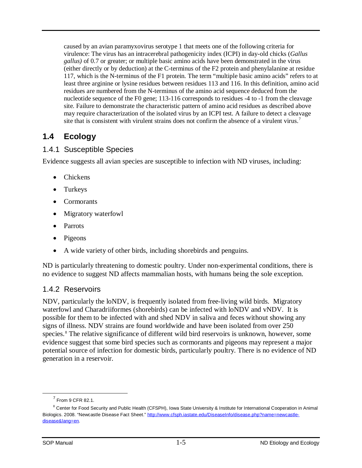caused by an avian paramyxovirus serotype 1 that meets one of the following criteria for virulence: The virus has an intracerebral pathogenicity index (ICPI) in day-old chicks (*Gallus gallus)* of 0.7 or greater; or multiple basic amino acids have been demonstrated in the virus (either directly or by deduction) at the C-terminus of the F2 protein and phenylalanine at residue 117, which is the N-terminus of the F1 protein. The term "multiple basic amino acids" refers to at least three arginine or lysine residues between residues 113 and 116. In this definition, amino acid residues are numbered from the N-terminus of the amino acid sequence deduced from the nucleotide sequence of the F0 gene; 113-116 corresponds to residues -4 to -1 from the cleavage site. Failure to demonstrate the characteristic pattern of amino acid residues as described above may require characterization of the isolated virus by an ICPI test. A failure to detect a cleavage site that is consistent with virulent strains does not confirm the absence of a virulent virus.<sup>[7](#page-7-3)</sup>

## <span id="page-7-0"></span>**1.4 Ecology**

## <span id="page-7-1"></span>1.4.1 Susceptible Species

Evidence suggests all avian species are susceptible to infection with ND viruses, including:

- Chickens
- Turkeys
- Cormorants
- Migratory waterfowl
- Parrots
- Pigeons
- A wide variety of other birds, including shorebirds and penguins.

ND is particularly threatening to domestic poultry. Under non-experimental conditions, there is no evidence to suggest ND affects mammalian hosts, with humans being the sole exception.

## <span id="page-7-2"></span>1.4.2 Reservoirs

NDV, particularly the loNDV, is frequently isolated from free-living wild birds. Migratory waterfowl and Charadriiformes (shorebirds) can be infected with loNDV and vNDV. It is possible for them to be infected with and shed NDV in saliva and feces without showing any signs of illness. NDV strains are found worldwide and have been isolated from over 250 species.<sup>[8](#page-7-4)</sup> The relative significance of different wild bird reservoirs is unknown, however, some evidence suggest that some bird species such as cormorants and pigeons may represent a major potential source of infection for domestic birds, particularly poultry. There is no evidence of ND generation in a reservoir.

 $<sup>7</sup>$  From 9 CFR 82.1.</sup>

<span id="page-7-4"></span><span id="page-7-3"></span><sup>&</sup>lt;sup>8</sup> Center for Food Security and Public Health (CFSPH), Iowa State University & Institute for International Cooperation in Animal Biologics. 2008. "Newcastle Disease Fact Sheet." [http://www.cfsph.iastate.edu/DiseaseInfo/disease.php?name=newcastle](http://www.cfsph.iastate.edu/DiseaseInfo/disease.php?name=newcastle-disease&lang=en)[disease&lang=en.](http://www.cfsph.iastate.edu/DiseaseInfo/disease.php?name=newcastle-disease&lang=en)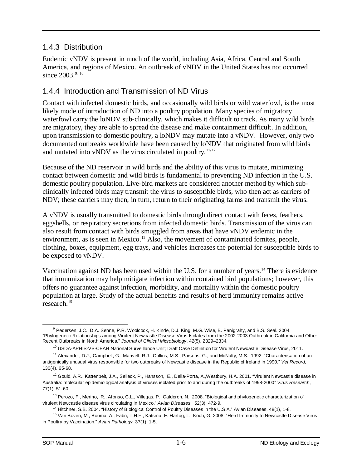## <span id="page-8-0"></span>1.4.3 Distribution

Endemic vNDV is present in much of the world, including Asia, Africa, Central and South America, and regions of Mexico. An outbreak of vNDV in the United States has not occurred since  $2003^{9,10}$  $2003^{9,10}$  $2003^{9,10}$  $2003^{9,10}$  $2003^{9,10}$ 

## <span id="page-8-1"></span>1.4.4 Introduction and Transmission of ND Virus

Contact with infected domestic birds, and occasionally wild birds or wild waterfowl, is the most likely mode of introduction of ND into a poultry population. Many species of migratory waterfowl carry the loNDV sub-clinically, which makes it difficult to track. As many wild birds are migratory, they are able to spread the disease and make containment difficult. In addition, upon transmission to domestic poultry, a loNDV may mutate into a vNDV. However, only two documented outbreaks worldwide have been caused by loNDV that originated from wild birds and mutated into vNDV as the virus circulated in poultry.  $11,12$  $11,12$ 

Because of the ND reservoir in wild birds and the ability of this virus to mutate, minimizing contact between domestic and wild birds is fundamental to preventing ND infection in the U.S. domestic poultry population. Live-bird markets are considered another method by which subclinically infected birds may transmit the virus to susceptible birds, who then act as carriers of NDV; these carriers may then, in turn, return to their originating farms and transmit the virus.

A vNDV is usually transmitted to domestic birds through direct contact with feces, feathers, eggshells, or respiratory secretions from infected domestic birds. Transmission of the virus can also result from contact with birds smuggled from areas that have vNDV endemic in the environment, as is seen in Mexico.<sup>[13](#page-8-6)</sup> Also, the movement of contaminated fomites, people, clothing, boxes, equipment, egg trays, and vehicles increases the potential for susceptible birds to be exposed to vNDV.

Vaccination against ND has been used within the U.S. for a number of years.<sup>[14](#page-8-7)</sup> There is evidence that immunization may help mitigate infection within contained bird populations; however, this offers no guarantee against infection, morbidity, and mortality within the domestic poultry population at large. Study of the actual benefits and results of herd immunity remains active research.[15](#page-8-8)

<span id="page-8-2"></span><sup>&</sup>lt;sup>9</sup> Pedersen, J.C., D.A. Senne, P.R. Woolcock, H. Kinde, D.J. King, M.G. Wise, B. Panigrahy, and B.S. Seal. 2004. "Phylogenetic Relationships among Virulent Newcastle Disease Virus Isolates from the 2002-2003 Outbreak in California and Other Recent Outbreaks in North America." *Journal of Clinical Microbiology*, 42(5), 2329–2334.  $\overline{a}$ 

<sup>&</sup>lt;sup>10</sup> USDA-APHIS-VS-CEAH National Surveillance Unit; Draft Case Definition for Virulent Newcastle Disease Virus, 2011.

<span id="page-8-4"></span><span id="page-8-3"></span><sup>&</sup>lt;sup>11</sup> Alexander, D.J., Campbell, G., Manvell, R.J., Collins, M.S., Parsons, G., and McNulty, M.S. 1992. "Characterisation of an antigenically unusual virus responsible for two outbreaks of Newcastle disease in the Republic of Ireland in 1990." *Vet Record,* 130(4), 65-68.

<span id="page-8-5"></span><sup>&</sup>lt;sup>12</sup> Gould, A.R., Kattenbelt, J.A., Selleck, P., Hansson, E., Della-Porta, A.,Westbury, H.A. 2001. "Virulent Newcastle disease in Australia: molecular epidemiological analysis of viruses isolated prior to and during the outbreaks of 1998-2000" *Virus Research*, 77(1), 51-60.

<span id="page-8-6"></span><sup>&</sup>lt;sup>13</sup> Perozo, F., Merino, R., Afonso, C.L., Villegas, P., Calderon, N. 2008. "Biological and phylogenetic characterization of virulent Newcastle disease virus circulating in Mexico." *Avian Diseases,* 52(3), 472-9.

<sup>&</sup>lt;sup>14</sup> Hitchner, S.B. 2004. "History of Biological Control of Poultry Diseases in the U.S.A." Avian Diseases. 48(1), 1-8.

<span id="page-8-8"></span><span id="page-8-7"></span><sup>&</sup>lt;sup>15</sup> Van Boven, M., Bouma, A., Fabri, T.H.F., Katsma, E. Hartog, L., Koch, G. 2008. "Herd Immunity to Newcastle Disease Virus in Poultry by Vaccination." *Avian Pathology,* 37(1), 1-5.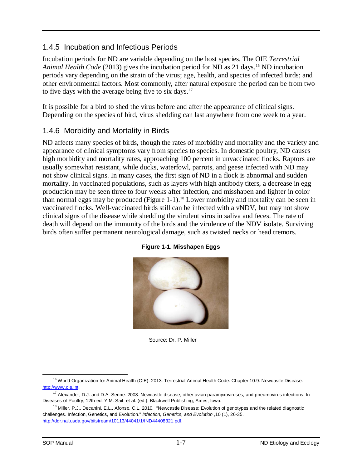## <span id="page-9-0"></span>1.4.5 Incubation and Infectious Periods

Incubation periods for ND are variable depending on the host species. The OIE *Terrestrial Animal Health Code* (2013) gives the incubation period for ND as 21 days. [16](#page-9-3) ND incubation periods vary depending on the strain of the virus; age, health, and species of infected birds; and other environmental factors. Most commonly, after natural exposure the period can be from two to five days with the average being five to six days. $17$ 

It is possible for a bird to shed the virus before and after the appearance of clinical signs. Depending on the species of bird, virus shedding can last anywhere from one week to a year.

## <span id="page-9-1"></span>1.4.6 Morbidity and Mortality in Birds

ND affects many species of birds, though the rates of morbidity and mortality and the variety and appearance of clinical symptoms vary from species to species. In domestic poultry, ND causes high morbidity and mortality rates, approaching 100 percent in unvaccinated flocks. Raptors are usually somewhat resistant, while ducks, waterfowl, parrots, and geese infected with ND may not show clinical signs. In many cases, the first sign of ND in a flock is abnormal and sudden mortality. In vaccinated populations, such as layers with high antibody titers, a decrease in egg production may be seen three to four weeks after infection, and misshapen and lighter in color than normal eggs may be produced [\(Figure 1-1\)](#page-9-2).<sup>[18](#page-9-5)</sup> Lower morbidity and mortality can be seen in vaccinated flocks. Well-vaccinated birds still can be infected with a vNDV, but may not show clinical signs of the disease while shedding the virulent virus in saliva and feces. The rate of death will depend on the immunity of the birds and the virulence of the NDV isolate. Surviving birds often suffer permanent neurological damage, such as twisted necks or head tremors.

<span id="page-9-2"></span>

#### **Figure 1-1. Misshapen Eggs**

Source: Dr. P. Miller

<span id="page-9-3"></span><sup>&</sup>lt;sup>16</sup> World Organization for Animal Health (OIE). 2013. Terrestrial Animal Health Code. Chapter 10.9. Newcastle Disease. [http://www.oie.int.](http://www.oie.int/)   $\overline{a}$ 

<span id="page-9-4"></span><sup>&</sup>lt;sup>17</sup> Alexander, D.J. and D.A. Senne. 2008. Newcastle disease, other avian paramyxoviruses, and pneumovirus infections. In Diseases of Poultry, 12th ed. Y.M. Saif. et al. (ed.). Blackwell Publishing, Ames, Iowa.

<span id="page-9-5"></span><sup>&</sup>lt;sup>18</sup> Miller, P.J., Decanini, E.L., Afonso, C.L. 2010. "Newcastle Disease: Evolution of genotypes and the related diagnostic challenges. Infection, Genetics, and Evolution." *Infection, Genetics, and Evolution* ,10 (1), 26-35. [http://ddr.nal.usda.gov/bitstream/10113/44041/1/IND44408321.pdf.](http://ddr.nal.usda.gov/bitstream/10113/44041/1/IND44408321.pdf)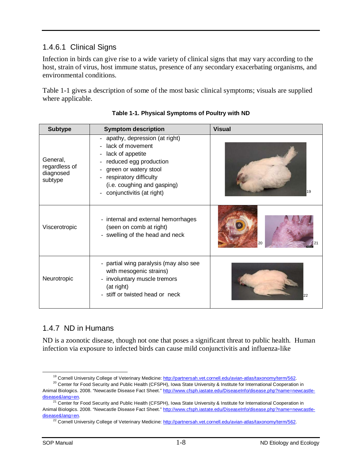## <span id="page-10-0"></span>1.4.6.1 Clinical Signs

Infection in birds can give rise to a wide variety of clinical signs that may vary according to the host, strain of virus, host immune status, presence of any secondary exacerbating organisms, and environmental conditions.

Table 1-1 gives a description of some of the most basic clinical symptoms; visuals are supplied where applicable.

| <b>Subtype</b>                                    | <b>Symptom description</b>                                                                                                                                                                                       | <b>Visual</b> |
|---------------------------------------------------|------------------------------------------------------------------------------------------------------------------------------------------------------------------------------------------------------------------|---------------|
| General,<br>regardless of<br>diagnosed<br>subtype | apathy, depression (at right)<br>- lack of movement<br>lack of appetite<br>reduced egg production<br>green or watery stool<br>respiratory difficulty<br>(i.e. coughing and gasping)<br>conjunctivitis (at right) | 19            |
| Viscerotropic                                     | - internal and external hemorrhages<br>(seen on comb at right)<br>- swelling of the head and neck                                                                                                                | 20            |
| Neurotropic                                       | - partial wing paralysis (may also see<br>with mesogenic strains)<br>- involuntary muscle tremors<br>(at right)<br>- stiff or twisted head or neck                                                               | 22            |

## <span id="page-10-1"></span>1.4.7 ND in Humans

ND is a zoonotic disease, though not one that poses a significant threat to public health. Human infection via exposure to infected birds can cause mild conjunctivitis and influenza-like

<sup>&</sup>lt;sup>19</sup> Cornell University College of Veterinary Medicine: [http://partnersah.vet.cornell.edu/avian-atlas/taxonomy/term/562.](http://partnersah.vet.cornell.edu/avian-atlas/taxonomy/term/562)

<span id="page-10-3"></span><span id="page-10-2"></span><sup>&</sup>lt;sup>20</sup> Center for Food Security and Public Health (CFSPH), Iowa State University & Institute for International Cooperation in Animal Biologics. 2008. "Newcastle Disease Fact Sheet." [http://www.cfsph.iastate.edu/DiseaseInfo/disease.php?name=newcastle-](http://www.cfsph.iastate.edu/DiseaseInfo/disease.php?name=newcastle-disease&lang=en)<u>disease&lang=en</u>.

<span id="page-10-5"></span><span id="page-10-4"></span><sup>&</sup>lt;sup>21</sup> Center for Food Security and Public Health (CFSPH), Iowa State University & Institute for International Cooperation in Animal Biologics. 2008. "Newcastle Disease Fact Sheet." [http://www.cfsph.iastate.edu/DiseaseInfo/disease.php?name=newcastle](http://www.cfsph.iastate.edu/DiseaseInfo/disease.php?name=newcastle-disease&lang=en)[disease&lang=en.](http://www.cfsph.iastate.edu/DiseaseInfo/disease.php?name=newcastle-disease&lang=en)

<sup>&</sup>lt;sup>22</sup> Cornell University College of Veterinary Medicine: [http://partnersah.vet.cornell.edu/avian-atlas/taxonomy/term/562.](http://partnersah.vet.cornell.edu/avian-atlas/taxonomy/term/562)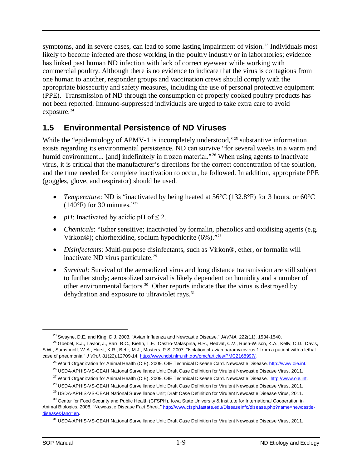symptoms, and in severe cases, can lead to some lasting impairment of vision.<sup>[23](#page-11-1)</sup> Individuals most likely to become infected are those working in the poultry industry or in laboratories; evidence has linked past human ND infection with lack of correct eyewear while working with commercial poultry. Although there is no evidence to indicate that the virus is contagious from one human to another, responder groups and vaccination crews should comply with the appropriate biosecurity and safety measures, including the use of personal protective equipment (PPE). Transmission of ND through the consumption of properly cooked poultry products has not been reported. Immuno-suppressed individuals are urged to take extra care to avoid exposure. $^{24}$ 

## <span id="page-11-0"></span>**1.5 Environmental Persistence of ND Viruses**

While the "epidemiology of APMV-1 is incompletely understood,"<sup>[25](#page-11-3)</sup> substantive information exists regarding its environmental persistence. ND can survive "for several weeks in a warm and humid environment... [and] indefinitely in frozen material."<sup>[26](#page-11-4)</sup> When using agents to inactivate virus, it is critical that the manufacturer's directions for the correct concentration of the solution, and the time needed for complete inactivation to occur, be followed. In addition, appropriate PPE (goggles, glove, and respirator) should be used.

- *Temperature*: ND is "inactivated by being heated at 56°C (132.8°F) for 3 hours, or 60°C  $(140°F)$  for 30 minutes."<sup>[27](#page-11-5)</sup>
- *pH*: Inactivated by acidic pH of  $\leq$  2.
- *Chemicals*: "Ether sensitive; inactivated by formalin, phenolics and oxidising agents (e.g. Virkon®); chlorhexidine, sodium hypochlorite (6%)."[28](#page-11-6)
- *Disinfectants*: Multi-purpose disinfectants, such as Virkon®, ether, or formalin will inactivate ND virus particulate.<sup>[29](#page-11-7)</sup>
- *Survival*: Survival of the aerosolized virus and long distance transmission are still subject to further study; aerosolized survival is likely dependent on humidity and a number of other environmental factors.[30](#page-11-8) Other reports indicate that the virus is destroyed by dehydration and exposure to ultraviolet rays. $31$

<sup>23</sup> Swayne, D.E. and King, D.J. 2003. "Avian Influenza and Newcastle Disease." *JAVMA,* 222(11), 1534-1540.

<span id="page-11-3"></span><span id="page-11-2"></span><span id="page-11-1"></span><sup>&</sup>lt;sup>24</sup> Goebel, S.J., Taylor, J., Barr, B.C., Kiehn, T.E., Castro-Malaspina, H.R., Hedvat, C.V., Rush-Wilson, K.A., Kelly, C.D., Davis, S.W., Samsonoff, W.A., Hurst, K.R., Behr, M.J., Masters, P.S. 2007. "Isolation of avian paramyxovirus 1 from a patient with a lethal case of pneumonia." *J Virol,* 81(22),12709-14. [http://www.ncbi.nlm.nih.gov/pmc/articles/PMC2168997/.](http://www.ncbi.nlm.nih.gov/pmc/articles/PMC2168997/)

<sup>25</sup> World Organization for Animal Health (OIE). 2009. OIE Technical Disease Card. Newcastle Disease[. http://www.oie.int.](http://www.oie.int/) 

<sup>&</sup>lt;sup>26</sup> USDA-APHIS-VS-CEAH National Surveillance Unit; Draft Case Definition for Virulent Newcastle Disease Virus, 2011.

<sup>&</sup>lt;sup>27</sup> World Organization for Animal Health (OIE). 2009. OIE Technical Disease Card. Newcastle Disease. http://www.oie.int.

<sup>&</sup>lt;sup>28</sup> USDA-APHIS-VS-CEAH National Surveillance Unit; Draft Case Definition for Virulent Newcastle Disease Virus, 2011.

<sup>&</sup>lt;sup>29</sup> USDA-APHIS-VS-CEAH National Surveillance Unit; Draft Case Definition for Virulent Newcastle Disease Virus, 2011.

<span id="page-11-9"></span><span id="page-11-8"></span><span id="page-11-7"></span><span id="page-11-6"></span><span id="page-11-5"></span><span id="page-11-4"></span><sup>&</sup>lt;sup>30</sup> Center for Food Security and Public Health (CFSPH), Iowa State University & Institute for International Cooperation in Animal Biologics. 2008. "Newcastle Disease Fact Sheet." [http://www.cfsph.iastate.edu/DiseaseInfo/disease.php?name=newcastle](http://www.cfsph.iastate.edu/DiseaseInfo/disease.php?name=newcastle-disease&lang=en)[disease&lang=en.](http://www.cfsph.iastate.edu/DiseaseInfo/disease.php?name=newcastle-disease&lang=en)

<sup>31</sup> USDA-APHIS-VS-CEAH National Surveillance Unit; Draft Case Definition for Virulent Newcastle Disease Virus, 2011.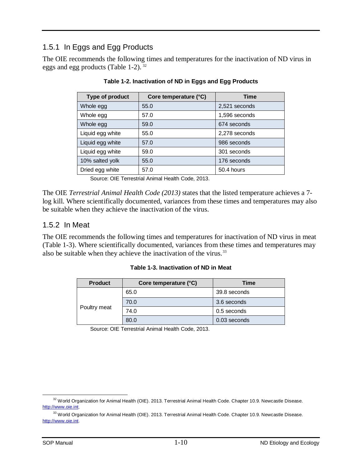## <span id="page-12-0"></span>1.5.1 In Eggs and Egg Products

The OIE recommends the following times and temperatures for the inactivation of ND virus in eggs and egg products (Table 1-2).<sup>[32](#page-12-2)</sup>

| Type of product  | Core temperature (°C) | <b>Time</b>   |
|------------------|-----------------------|---------------|
| Whole egg        | 55.0                  | 2,521 seconds |
| Whole egg        | 57.0                  | 1,596 seconds |
| Whole egg        | 59.0                  | 674 seconds   |
| Liquid egg white | 55.0                  | 2,278 seconds |
| Liquid egg white | 57.0                  | 986 seconds   |
| Liquid egg white | 59.0                  | 301 seconds   |
| 10% salted yolk  | 55.0                  | 176 seconds   |
| Dried egg white  | 57.0                  | 50.4 hours    |

#### **Table 1-2. Inactivation of ND in Eggs and Egg Products**

Source: OIE Terrestrial Animal Health Code, 2013.

The OIE *Terrestrial Animal Health Code (2013)* states that the listed temperature achieves a 7 log kill. Where scientifically documented, variances from these times and temperatures may also be suitable when they achieve the inactivation of the virus.

#### <span id="page-12-1"></span>1.5.2 In Meat

The OIE recommends the following times and temperatures for inactivation of ND virus in meat (Table 1-3). Where scientifically documented, variances from these times and temperatures may also be suitable when they achieve the inactivation of the virus.<sup>[33](#page-12-3)</sup>

|  | Table 1-3. Inactivation of ND in Meat |  |  |
|--|---------------------------------------|--|--|
|--|---------------------------------------|--|--|

| <b>Product</b> | Core temperature (°C) | Time         |  |
|----------------|-----------------------|--------------|--|
|                | 65.0                  | 39.8 seconds |  |
|                | 70.0                  | 3.6 seconds  |  |
| Poultry meat   | 74.0                  | 0.5 seconds  |  |
|                | 80.0                  | 0.03 seconds |  |

Source: OIE Terrestrial Animal Health Code, 2013.

<span id="page-12-2"></span><sup>&</sup>lt;sup>32</sup> World Organization for Animal Health (OIE). 2013. Terrestrial Animal Health Code. Chapter 10.9. Newcastle Disease. [http://www.oie.int.](http://www.oie.int/)  $\overline{a}$ 

<span id="page-12-3"></span><sup>33</sup> World Organization for Animal Health (OIE). 2013. Terrestrial Animal Health Code. Chapter 10.9. Newcastle Disease. [http://www.oie.int.](http://www.oie.int/)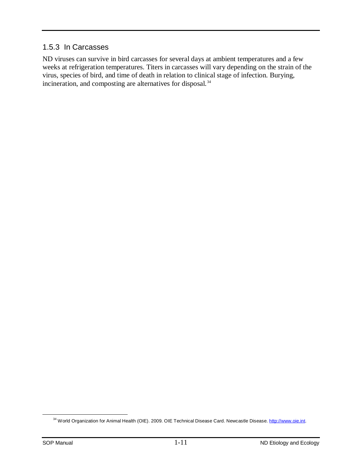#### <span id="page-13-0"></span>1.5.3 In Carcasses

ND viruses can survive in bird carcasses for several days at ambient temperatures and a few weeks at refrigeration temperatures. Titers in carcasses will vary depending on the strain of the virus, species of bird, and time of death in relation to clinical stage of infection. Burying, incineration, and composting are alternatives for disposal. [34](#page-13-2)

<span id="page-13-2"></span><span id="page-13-1"></span><sup>&</sup>lt;sup>34</sup> World Organization for Animal Health (OIE). 2009. OIE Technical Disease Card. Newcastle Disease. http://www.oie.int.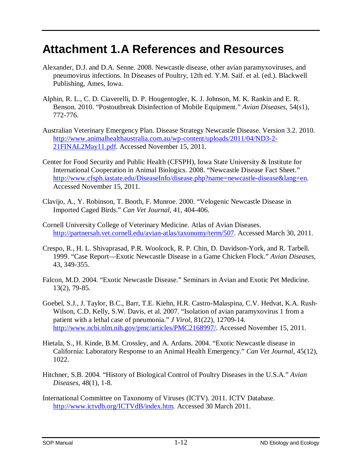## <span id="page-14-0"></span>**Attachment 1.A References and Resources**

- Alexander, D.J. and D.A. Senne. 2008. Newcastle disease, other avian paramyxoviruses, and pneumovirus infections. In Diseases of Poultry, 12th ed. Y.M. Saif. et al. (ed.). Blackwell Publishing, Ames, Iowa.
- Alphin, R. L., C. D. Ciaverelli, D. P. Hougentogler, K. J. Johnson, M. K. Rankin and E. R. Benson. 2010. "Postoutbreak Disinfection of Mobile Equipment." *Avian Diseases*, 54(s1), 772-776.
- Australian Veterinary Emergency Plan. Disease Strategy Newcastle Disease. Version 3.2. 2010. [http://www.animalhealthaustralia.com.au/wp-content/uploads/2011/04/ND3-2-](http://www.animalhealthaustralia.com.au/wp-content/uploads/2011/04/ND3-2-21FINAL2May11.pdf) [21FINAL2May11.pdf.](http://www.animalhealthaustralia.com.au/wp-content/uploads/2011/04/ND3-2-21FINAL2May11.pdf) Accessed November 15, 2011.
- Center for Food Security and Public Health (CFSPH), Iowa State University & Institute for International Cooperation in Animal Biologics. 2008. "Newcastle Disease Fact Sheet." [http://www.cfsph.iastate.edu/DiseaseInfo/disease.php?name=newcastle-disease&lang=en.](http://www.cfsph.iastate.edu/DiseaseInfo/disease.php?name=newcastle-disease&lang=en) Accessed November 15, 2011.
- Clavijo, A., Y. Robinson, T. Booth, F. Munroe. 2000. "Velogenic Newcastle Disease in Imported Caged Birds." *Can Vet Journal,* 41, 404-406.
- Cornell University College of Veterinary Medicine. Atlas of Avian Diseases. [http://partnersah.vet.cornell.edu/avian-atlas/taxonomy/term/507.](http://partnersah.vet.cornell.edu/avian-atlas/taxonomy/term/507) Accessed March 30, 2011.
- Crespo, R., H. L. Shivaprasad, P.R. Woolcock, R. P. Chin, D. Davidson-York, and R. Tarbell. 1999. "Case Report—Exotic Newcastle Disease in a Game Chicken Flock." *Avian Diseases*, 43, 349-355.
- Falcon, M.D. 2004. "Exotic Newcastle Disease." Seminars in Avian and Exotic Pet Medicine. 13(2), 79-85.
- Goebel, S.J., J. Taylor, B.C., Barr, T.E. Kiehn, H.R. Castro-Malaspina, C.V. Hedvat, K.A. Rush-Wilson, C.D. Kelly, S.W. Davis, et al. 2007. "Isolation of avian paramyxovirus 1 from a patient with a lethal case of pneumonia." *J Virol,* 81(22), 12709-14. [http://www.ncbi.nlm.nih.gov/pmc/articles/PMC2168997/.](http://www.ncbi.nlm.nih.gov/pmc/articles/PMC2168997/) Accessed November 15, 2011.
- Hietala, S., H. Kinde, B.M. Crossley, and A. Ardans. 2004. "Exotic Newcastle disease in California: Laboratory Response to an Animal Health Emergency." *Can Vet Journal*, 45(12), 1022.
- Hitchner, S.B. 2004. "History of Biological Control of Poultry Diseases in the U.S.A." *Avian Diseases*, 48(1), 1-8.
- International Committee on Taxonomy of Viruses (ICTV). 2011. ICTV Database. [http://www.ictvdb.org/ICTVdB/index.htm.](http://www.ictvdb.org/ICTVdB/index.htm) Accessed 30 March 2011.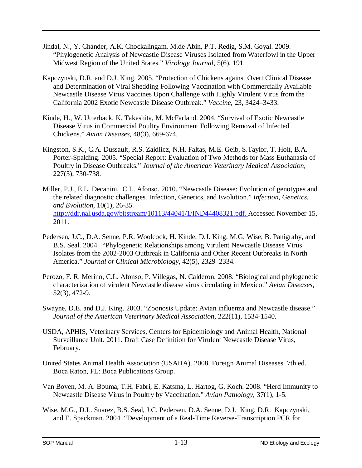- Jindal, N., Y. Chander, A.K. Chockalingam, M.de Abin, P.T. Redig, S.M. Goyal. 2009. "Phylogenetic Analysis of Newcastle Disease Viruses Isolated from Waterfowl in the Upper Midwest Region of the United States." *Virology Journal*, 5(6), 191.
- Kapczynski, D.R. and D.J. King. 2005. "Protection of Chickens against Overt Clinical Disease and Determination of Viral Shedding Following Vaccination with Commercially Available Newcastle Disease Virus Vaccines Upon Challenge with Highly Virulent Virus from the California 2002 Exotic Newcastle Disease Outbreak." *Vaccine,* 23, 3424–3433.
- Kinde, H., W. Utterback, K. Takeshita, M. McFarland. 2004. "Survival of Exotic Newcastle Disease Virus in Commercial Poultry Environment Following Removal of Infected Chickens." *Avian Diseases*, 48(3), 669-674.
- Kingston, S.K., C.A. Dussault, R.S. Zaidlicz, N.H. Faltas, M.E. Geib, S.Taylor, T. Holt, B.A. Porter-Spalding. 2005. "Special Report: Evaluation of Two Methods for Mass Euthanasia of Poultry in Disease Outbreaks." *Journal of the American Veterinary Medical Association*, 227(5), 730-738.
- Miller, P.J., E.L. Decanini, C.L. Afonso. 2010. "Newcastle Disease: Evolution of genotypes and the related diagnostic challenges. Infection, Genetics, and Evolution." *Infection, Genetics, and Evolution*, 10(1), 26-35. [http://ddr.nal.usda.gov/bitstream/10113/44041/1/IND44408321.pdf.](http://ddr.nal.usda.gov/bitstream/10113/44041/1/IND44408321.pdf) Accessed November 15, 2011.
- Pedersen, J.C., D.A. Senne, P.R. Woolcock, H. Kinde, D.J. King, M.G. Wise, B. Panigrahy, and B.S. Seal. 2004. "Phylogenetic Relationships among Virulent Newcastle Disease Virus Isolates from the 2002-2003 Outbreak in California and Other Recent Outbreaks in North America." *Journal of Clinical Microbiology*, 42(5), 2329–2334.
- Perozo, F. R. Merino, C.L. Afonso, P. Villegas, N. Calderon. 2008. "Biological and phylogenetic characterization of virulent Newcastle disease virus circulating in Mexico." *Avian Diseases*, 52(3), 472-9.
- Swayne, D.E. and D.J. King. 2003. "Zoonosis Update: Avian influenza and Newcastle disease." *Journal of the American Veterinary Medical Association*, 222(11), 1534-1540.
- USDA, APHIS, Veterinary Services, Centers for Epidemiology and Animal Health, National Surveillance Unit. 2011. Draft Case Definition for Virulent Newcastle Disease Virus, February.
- United States Animal Health Association (USAHA). 2008. Foreign Animal Diseases. 7th ed. Boca Raton, FL: Boca Publications Group.
- Van Boven, M. A. Bouma, T.H. Fabri, E. Katsma, L. Hartog, G. Koch. 2008. "Herd Immunity to Newcastle Disease Virus in Poultry by Vaccination." *Avian Pathology*, 37(1), 1-5.
- Wise, M.G., D.L. Suarez, B.S. Seal, J.C. Pedersen, D.A. Senne, D.J. King, D.R. Kapczynski, and E. Spackman. 2004. "Development of a Real-Time Reverse-Transcription PCR for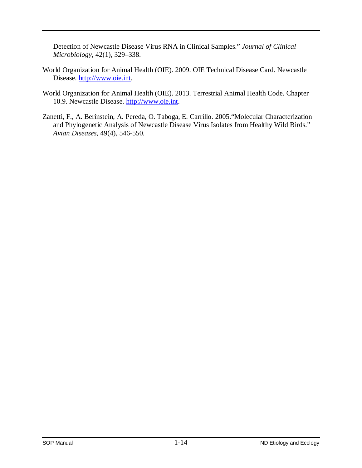Detection of Newcastle Disease Virus RNA in Clinical Samples." *Journal of Clinical Microbiology*, 42(1), 329–338.

- World Organization for Animal Health (OIE). 2009. OIE Technical Disease Card. Newcastle Disease. [http://www.oie.int.](http://www.oie.int/)
- World Organization for Animal Health (OIE). 2013. Terrestrial Animal Health Code. Chapter 10.9. Newcastle Disease. [http://www.oie.int.](http://www.oie.int/)
- Zanetti, F., A. Berinstein, A. Pereda, O. Taboga, E. Carrillo. 2005."Molecular Characterization and Phylogenetic Analysis of Newcastle Disease Virus Isolates from Healthy Wild Birds." *Avian Diseases*, 49(4), 546-550.